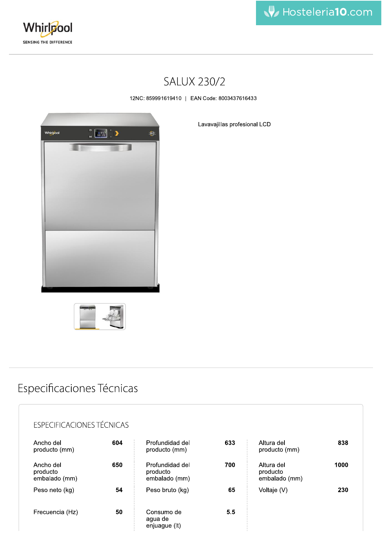



## **SALUX 230/2**

12NC: 859991619410 | EAN Code: 8003437616433







## Especificaciones Técnicas

### **ESPECIFICACIONES TÉCNICAS**

| Ancho del<br>producto (mm)             | 604 | Profundidad del<br>producto (mm)             | 633 | Altura del<br>producto (mm)             | 838  |
|----------------------------------------|-----|----------------------------------------------|-----|-----------------------------------------|------|
| Ancho del<br>producto<br>embalado (mm) | 650 | Profundidad del<br>producto<br>embalado (mm) | 700 | Altura del<br>producto<br>embalado (mm) | 1000 |
| Peso neto (kg)                         | 54  | Peso bruto (kg)                              | 65  | Voltaje (V)                             | 230  |
| Frecuencia (Hz)                        | 50  | Consumo de<br>agua de<br>enjuague (It)       | 5.5 |                                         |      |